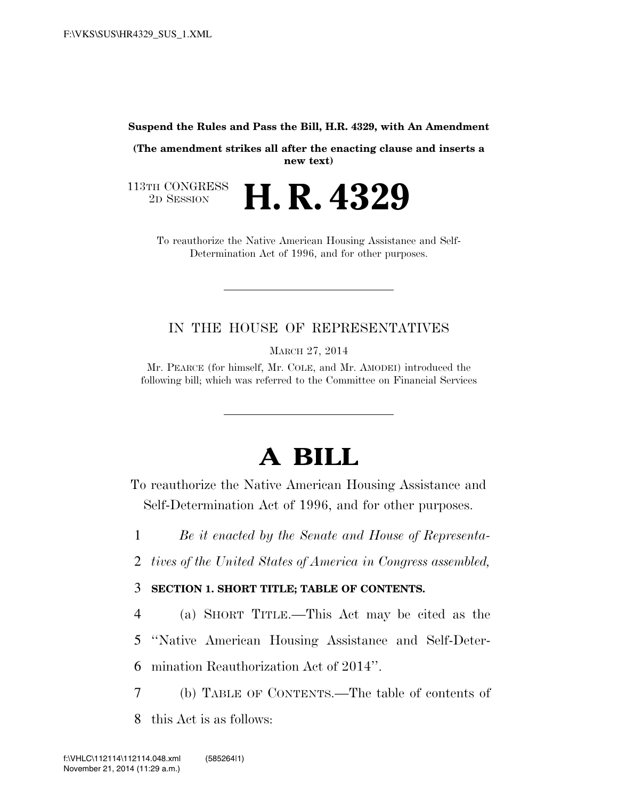#### **Suspend the Rules and Pass the Bill, H.R. 4329, with An Amendment**

**(The amendment strikes all after the enacting clause and inserts a new text)** 

113TH CONGRESS<br>2D SESSION 2D SESSION **H. R. 4329** 

To reauthorize the Native American Housing Assistance and Self-Determination Act of 1996, and for other purposes.

## IN THE HOUSE OF REPRESENTATIVES

MARCH 27, 2014

Mr. PEARCE (for himself, Mr. COLE, and Mr. AMODEI) introduced the following bill; which was referred to the Committee on Financial Services

# **A BILL**

To reauthorize the Native American Housing Assistance and Self-Determination Act of 1996, and for other purposes.

1 *Be it enacted by the Senate and House of Representa-*

2 *tives of the United States of America in Congress assembled,* 

3 **SECTION 1. SHORT TITLE; TABLE OF CONTENTS.** 

4 (a) SHORT TITLE.—This Act may be cited as the 5 ''Native American Housing Assistance and Self-Deter-

6 mination Reauthorization Act of 2014''.

7 (b) TABLE OF CONTENTS.—The table of contents of

8 this Act is as follows: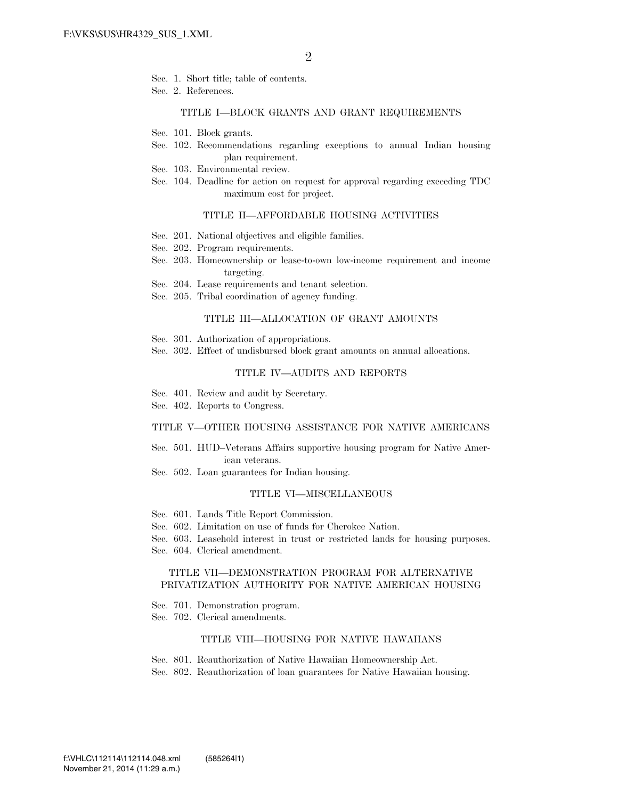- Sec. 1. Short title; table of contents.
- Sec. 2. References.

#### TITLE I—BLOCK GRANTS AND GRANT REQUIREMENTS

- Sec. 101. Block grants.
- Sec. 102. Recommendations regarding exceptions to annual Indian housing plan requirement.
- Sec. 103. Environmental review.
- Sec. 104. Deadline for action on request for approval regarding exceeding TDC maximum cost for project.

#### TITLE II—AFFORDABLE HOUSING ACTIVITIES

- Sec. 201. National objectives and eligible families.
- Sec. 202. Program requirements.
- Sec. 203. Homeownership or lease-to-own low-income requirement and income targeting.
- Sec. 204. Lease requirements and tenant selection.
- Sec. 205. Tribal coordination of agency funding.

#### TITLE III—ALLOCATION OF GRANT AMOUNTS

- Sec. 301. Authorization of appropriations.
- Sec. 302. Effect of undisbursed block grant amounts on annual allocations.

#### TITLE IV—AUDITS AND REPORTS

- Sec. 401. Review and audit by Secretary.
- Sec. 402. Reports to Congress.

#### TITLE V—OTHER HOUSING ASSISTANCE FOR NATIVE AMERICANS

- Sec. 501. HUD–Veterans Affairs supportive housing program for Native American veterans.
- Sec. 502. Loan guarantees for Indian housing.

#### TITLE VI—MISCELLANEOUS

- Sec. 601. Lands Title Report Commission.
- Sec. 602. Limitation on use of funds for Cherokee Nation.
- Sec. 603. Leasehold interest in trust or restricted lands for housing purposes.
- Sec. 604. Clerical amendment.

#### TITLE VII—DEMONSTRATION PROGRAM FOR ALTERNATIVE PRIVATIZATION AUTHORITY FOR NATIVE AMERICAN HOUSING

- Sec. 701. Demonstration program.
- Sec. 702. Clerical amendments.

#### TITLE VIII—HOUSING FOR NATIVE HAWAIIANS

- Sec. 801. Reauthorization of Native Hawaiian Homeownership Act.
- Sec. 802. Reauthorization of loan guarantees for Native Hawaiian housing.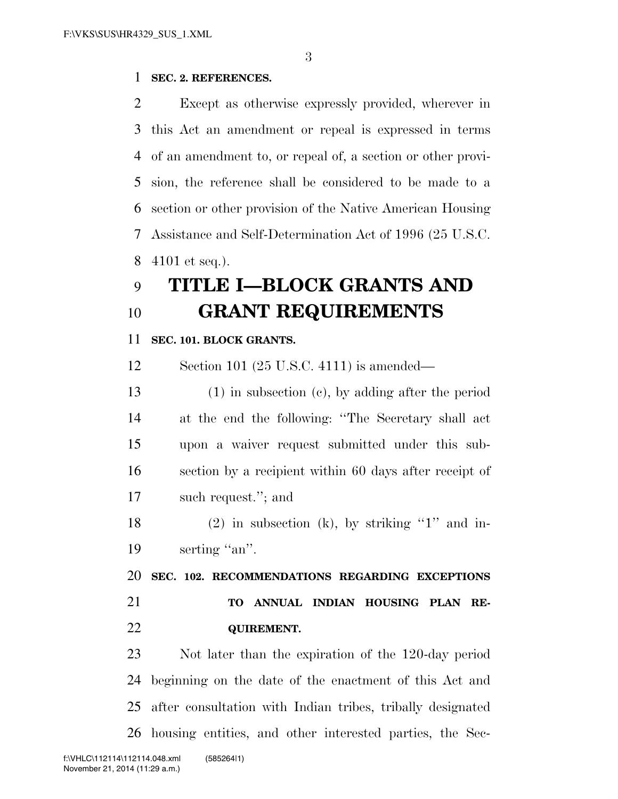### **SEC. 2. REFERENCES.**

 Except as otherwise expressly provided, wherever in this Act an amendment or repeal is expressed in terms of an amendment to, or repeal of, a section or other provi- sion, the reference shall be considered to be made to a section or other provision of the Native American Housing Assistance and Self-Determination Act of 1996 (25 U.S.C. 4101 et seq.).

# **TITLE I—BLOCK GRANTS AND GRANT REQUIREMENTS**

#### **SEC. 101. BLOCK GRANTS.**

Section 101 (25 U.S.C. 4111) is amended—

 (1) in subsection (c), by adding after the period at the end the following: ''The Secretary shall act upon a waiver request submitted under this sub- section by a recipient within 60 days after receipt of such request.''; and

18 (2) in subsection (k), by striking "1" and in-19 serting "an".

 **SEC. 102. RECOMMENDATIONS REGARDING EXCEPTIONS TO ANNUAL INDIAN HOUSING PLAN RE-QUIREMENT.** 

 Not later than the expiration of the 120-day period beginning on the date of the enactment of this Act and after consultation with Indian tribes, tribally designated housing entities, and other interested parties, the Sec-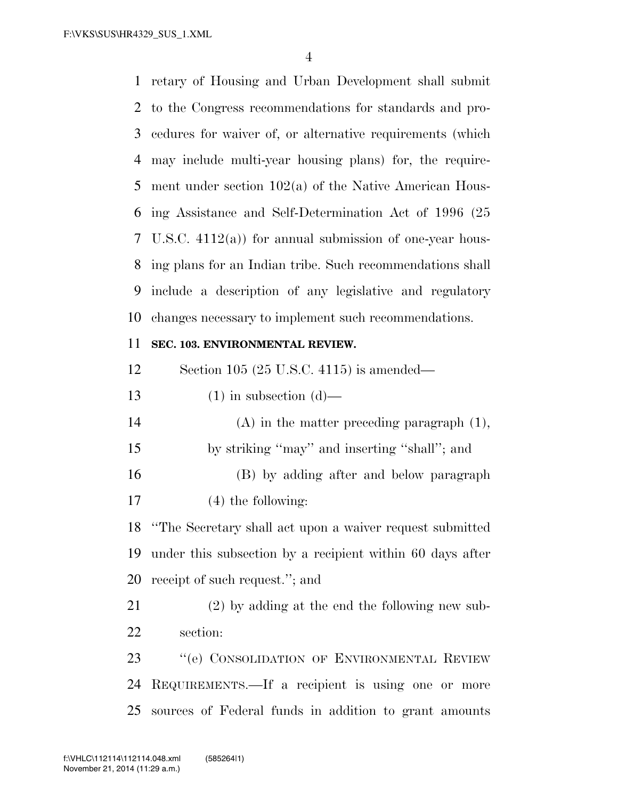retary of Housing and Urban Development shall submit to the Congress recommendations for standards and pro- cedures for waiver of, or alternative requirements (which may include multi-year housing plans) for, the require- ment under section 102(a) of the Native American Hous- ing Assistance and Self-Determination Act of 1996 (25 U.S.C. 4112(a)) for annual submission of one-year hous- ing plans for an Indian tribe. Such recommendations shall include a description of any legislative and regulatory changes necessary to implement such recommendations.

### **SEC. 103. ENVIRONMENTAL REVIEW.**

Section 105 (25 U.S.C. 4115) is amended—

- 13 (1) in subsection  $(d)$ —
- (A) in the matter preceding paragraph (1), by striking ''may'' and inserting ''shall''; and (B) by adding after and below paragraph
- (4) the following:

 ''The Secretary shall act upon a waiver request submitted under this subsection by a recipient within 60 days after receipt of such request.''; and

 (2) by adding at the end the following new sub-section:

 ''(e) CONSOLIDATION OF ENVIRONMENTAL REVIEW REQUIREMENTS.—If a recipient is using one or more sources of Federal funds in addition to grant amounts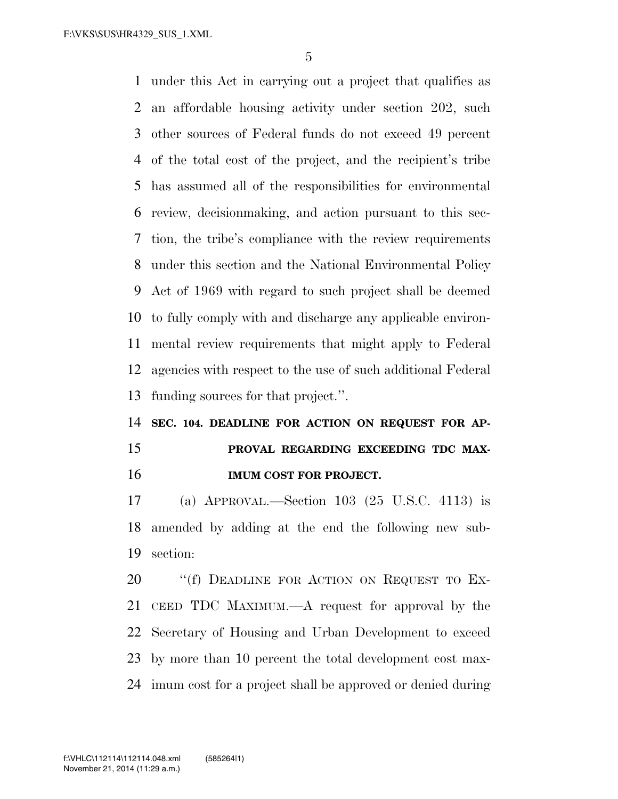under this Act in carrying out a project that qualifies as an affordable housing activity under section 202, such other sources of Federal funds do not exceed 49 percent of the total cost of the project, and the recipient's tribe has assumed all of the responsibilities for environmental review, decisionmaking, and action pursuant to this sec- tion, the tribe's compliance with the review requirements under this section and the National Environmental Policy Act of 1969 with regard to such project shall be deemed to fully comply with and discharge any applicable environ- mental review requirements that might apply to Federal agencies with respect to the use of such additional Federal funding sources for that project.''.

# **SEC. 104. DEADLINE FOR ACTION ON REQUEST FOR AP- PROVAL REGARDING EXCEEDING TDC MAX-IMUM COST FOR PROJECT.**

 (a) APPROVAL.—Section 103 (25 U.S.C. 4113) is amended by adding at the end the following new sub-section:

20 "(f) DEADLINE FOR ACTION ON REQUEST TO EX- CEED TDC MAXIMUM.—A request for approval by the Secretary of Housing and Urban Development to exceed by more than 10 percent the total development cost max-imum cost for a project shall be approved or denied during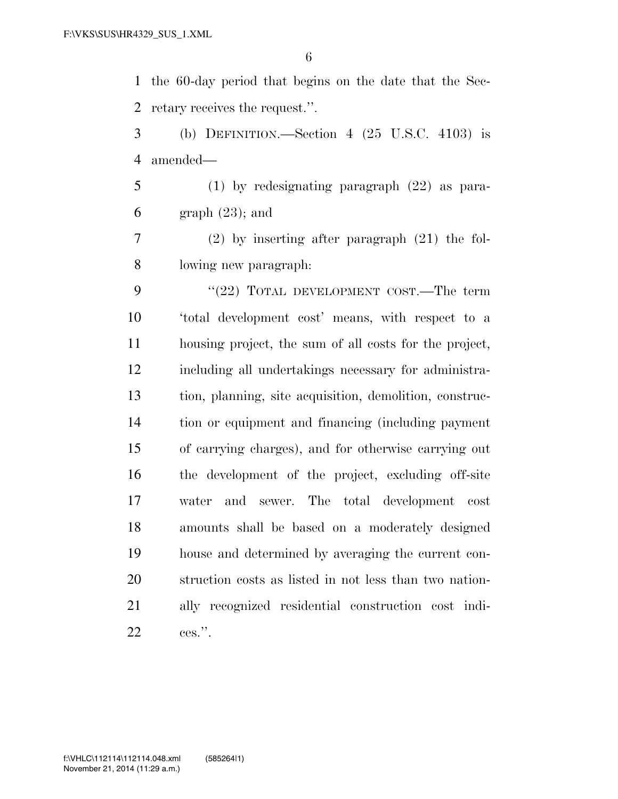the 60-day period that begins on the date that the Sec-retary receives the request.''.

 (b) DEFINITION.—Section 4 (25 U.S.C. 4103) is amended—

 (1) by redesignating paragraph (22) as para- $6 \qquad \text{graph } (23)$ ; and

 (2) by inserting after paragraph (21) the fol-lowing new paragraph:

9 "(22) TOTAL DEVELOPMENT COST.—The term 'total development cost' means, with respect to a housing project, the sum of all costs for the project, including all undertakings necessary for administra- tion, planning, site acquisition, demolition, construc- tion or equipment and financing (including payment of carrying charges), and for otherwise carrying out the development of the project, excluding off-site water and sewer. The total development cost amounts shall be based on a moderately designed house and determined by averaging the current con- struction costs as listed in not less than two nation- ally recognized residential construction cost indi-ces.''.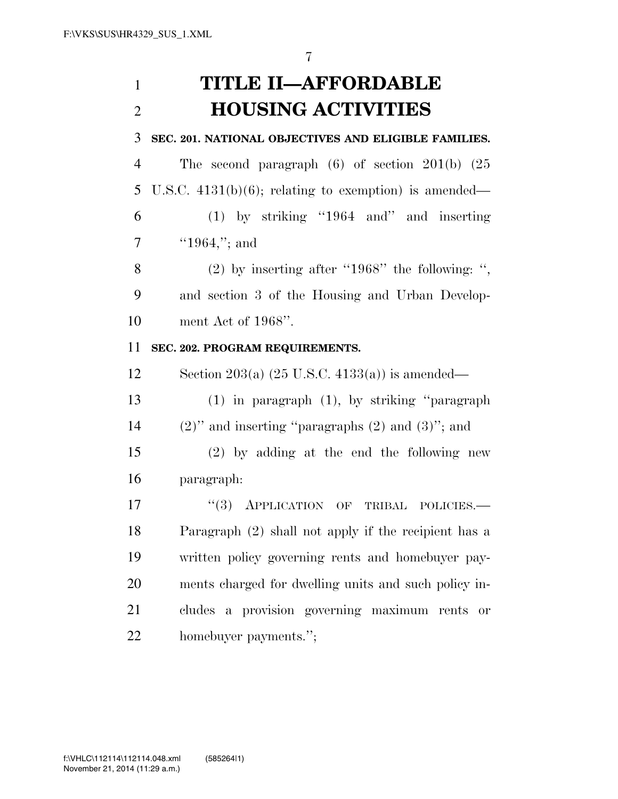# **TITLE II—AFFORDABLE HOUSING ACTIVITIES**

## **SEC. 201. NATIONAL OBJECTIVES AND ELIGIBLE FAMILIES.**

 The second paragraph (6) of section 201(b) (25 U.S.C. 4131(b)(6); relating to exemption) is amended— (1) by striking ''1964 and'' and inserting

''1964,"; and

 (2) by inserting after ''1968'' the following: '', and section 3 of the Housing and Urban Develop-ment Act of 1968''.

## **SEC. 202. PROGRAM REQUIREMENTS.**

12 Section 203(a)  $(25 \text{ U.S.C. } 4133(a))$  is amended—

 (1) in paragraph (1), by striking ''paragraph 14  $(2)$ " and inserting "paragraphs  $(2)$  and  $(3)$ "; and

 (2) by adding at the end the following new paragraph:

17 "(3) APPLICATION OF TRIBAL POLICIES.— Paragraph (2) shall not apply if the recipient has a written policy governing rents and homebuyer pay- ments charged for dwelling units and such policy in- cludes a provision governing maximum rents or homebuyer payments.'';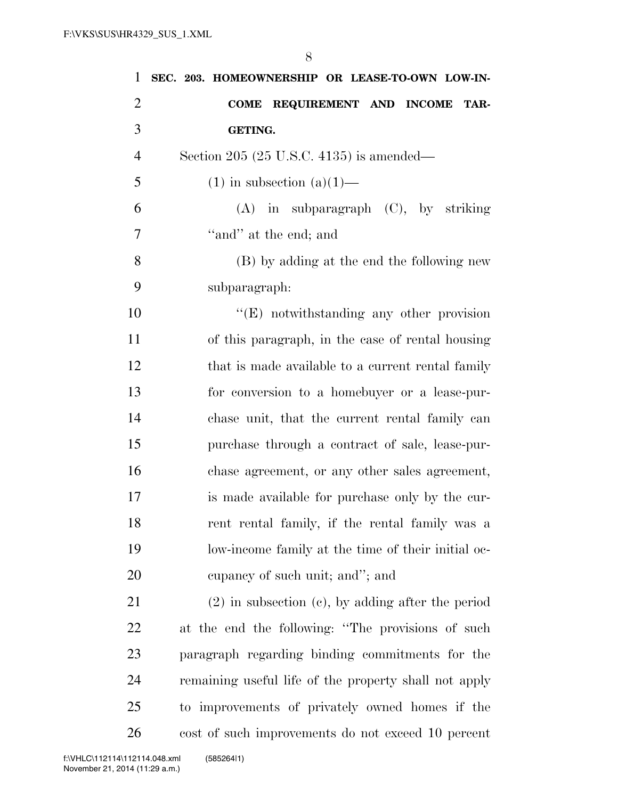| $\mathbf{1}$   | SEC. 203. HOMEOWNERSHIP OR LEASE-TO-OWN LOW-IN-        |
|----------------|--------------------------------------------------------|
| $\overline{2}$ | COME REQUIREMENT AND INCOME<br>TAR-                    |
| 3              | <b>GETING.</b>                                         |
| $\overline{4}$ | Section 205 (25 U.S.C. 4135) is amended—               |
| 5              | $(1)$ in subsection $(a)(1)$ —                         |
| 6              | $(A)$ in subparagraph $(C)$ , by striking              |
| 7              | "and" at the end; and                                  |
| 8              | (B) by adding at the end the following new             |
| 9              | subparagraph:                                          |
| 10             | $\lq\lq(E)$ notwithstanding any other provision        |
| 11             | of this paragraph, in the case of rental housing       |
| 12             | that is made available to a current rental family      |
| 13             | for conversion to a homebuyer or a lease-pur-          |
| 14             | chase unit, that the current rental family can         |
| 15             | purchase through a contract of sale, lease-pur-        |
| 16             | chase agreement, or any other sales agreement,         |
| 17             | is made available for purchase only by the cur-        |
| 18             | rent rental family, if the rental family was a         |
| 19             | low-income family at the time of their initial oc-     |
| 20             | eupancy of such unit; and"; and                        |
| 21             | $(2)$ in subsection $(c)$ , by adding after the period |
| 22             | at the end the following: "The provisions of such      |
| 23             | paragraph regarding binding commitments for the        |
| 24             | remaining useful life of the property shall not apply  |
| 25             | to improvements of privately owned homes if the        |
| 26             | cost of such improvements do not exceed 10 percent     |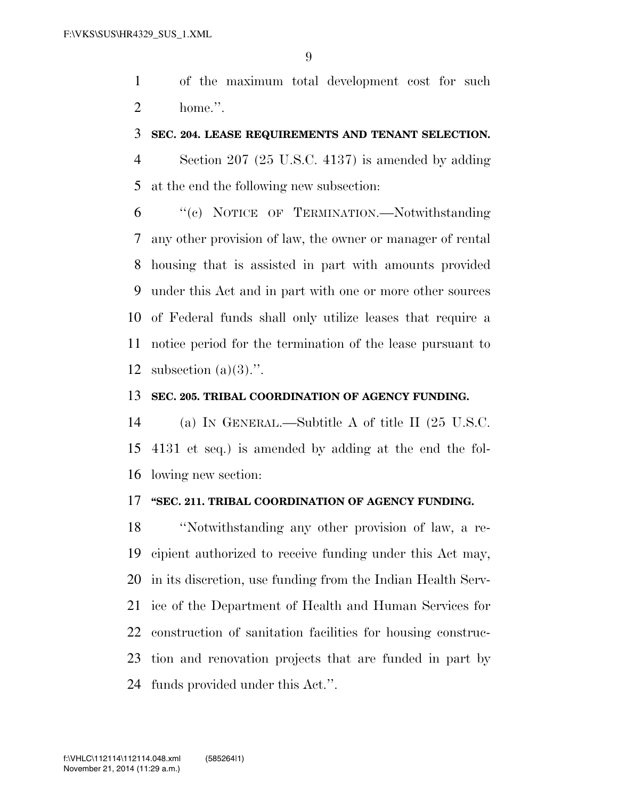of the maximum total development cost for such home.''.

#### **SEC. 204. LEASE REQUIREMENTS AND TENANT SELECTION.**

 Section 207 (25 U.S.C. 4137) is amended by adding at the end the following new subsection:

 ''(c) NOTICE OF TERMINATION.—Notwithstanding any other provision of law, the owner or manager of rental housing that is assisted in part with amounts provided under this Act and in part with one or more other sources of Federal funds shall only utilize leases that require a notice period for the termination of the lease pursuant to 12 subsection  $(a)(3)$ .".

### **SEC. 205. TRIBAL COORDINATION OF AGENCY FUNDING.**

 (a) IN GENERAL.—Subtitle A of title II (25 U.S.C. 4131 et seq.) is amended by adding at the end the fol-lowing new section:

### **''SEC. 211. TRIBAL COORDINATION OF AGENCY FUNDING.**

 ''Notwithstanding any other provision of law, a re- cipient authorized to receive funding under this Act may, in its discretion, use funding from the Indian Health Serv- ice of the Department of Health and Human Services for construction of sanitation facilities for housing construc- tion and renovation projects that are funded in part by funds provided under this Act.''.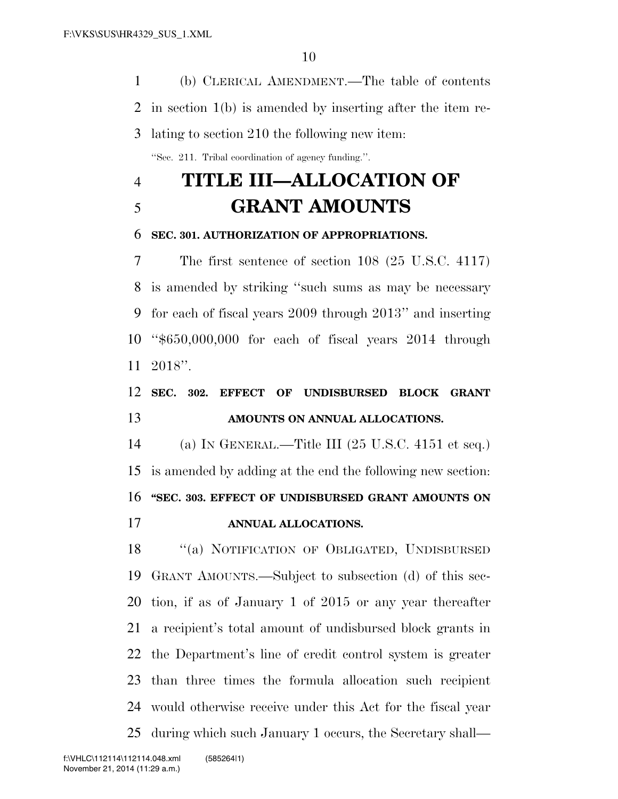(b) CLERICAL AMENDMENT.—The table of contents in section 1(b) is amended by inserting after the item re- lating to section 210 the following new item: ''Sec. 211. Tribal coordination of agency funding.''.

# **TITLE III—ALLOCATION OF GRANT AMOUNTS**

### **SEC. 301. AUTHORIZATION OF APPROPRIATIONS.**

 The first sentence of section 108 (25 U.S.C. 4117) is amended by striking ''such sums as may be necessary for each of fiscal years 2009 through 2013'' and inserting ''\$650,000,000 for each of fiscal years 2014 through 2018''.

# **SEC. 302. EFFECT OF UNDISBURSED BLOCK GRANT AMOUNTS ON ANNUAL ALLOCATIONS.**

 (a) IN GENERAL.—Title III (25 U.S.C. 4151 et seq.) is amended by adding at the end the following new section: **''SEC. 303. EFFECT OF UNDISBURSED GRANT AMOUNTS ON ANNUAL ALLOCATIONS.** 

 ''(a) NOTIFICATION OF OBLIGATED, UNDISBURSED GRANT AMOUNTS.—Subject to subsection (d) of this sec- tion, if as of January 1 of 2015 or any year thereafter a recipient's total amount of undisbursed block grants in the Department's line of credit control system is greater than three times the formula allocation such recipient would otherwise receive under this Act for the fiscal year during which such January 1 occurs, the Secretary shall—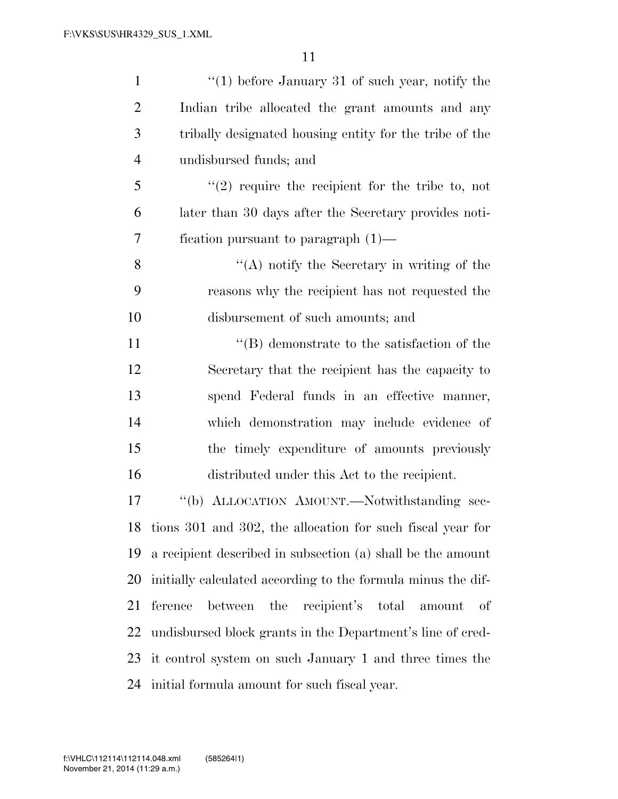| $\mathbf{1}$   | $"(1)$ before January 31 of such year, notify the             |
|----------------|---------------------------------------------------------------|
| $\overline{2}$ | Indian tribe allocated the grant amounts and any              |
| 3              | tribally designated housing entity for the tribe of the       |
| $\overline{4}$ | undisbursed funds; and                                        |
| 5              | $\lq(2)$ require the recipient for the tribe to, not          |
| 6              | later than 30 days after the Secretary provides noti-         |
| 7              | fication pursuant to paragraph $(1)$ —                        |
| 8              | "(A) notify the Secretary in writing of the                   |
| 9              | reasons why the recipient has not requested the               |
| 10             | disbursement of such amounts; and                             |
| 11             | $\lq\lq (B)$ demonstrate to the satisfaction of the           |
| 12             | Secretary that the recipient has the capacity to              |
| 13             | spend Federal funds in an effective manner,                   |
| 14             | which demonstration may include evidence of                   |
| 15             | the timely expenditure of amounts previously                  |
| 16             | distributed under this Act to the recipient.                  |
| 17             | "(b) ALLOCATION AMOUNT.—Notwithstanding sec-                  |
|                | 18 tions 301 and 302, the allocation for such fiscal year for |
| 19             | a recipient described in subsection (a) shall be the amount   |
| 20             | initially calculated according to the formula minus the dif-  |
| 21             | ference between the recipient's<br>total amount<br>- of       |
| 22             | undisbursed block grants in the Department's line of cred-    |
| 23             | it control system on such January 1 and three times the       |
| 24             | initial formula amount for such fiscal year.                  |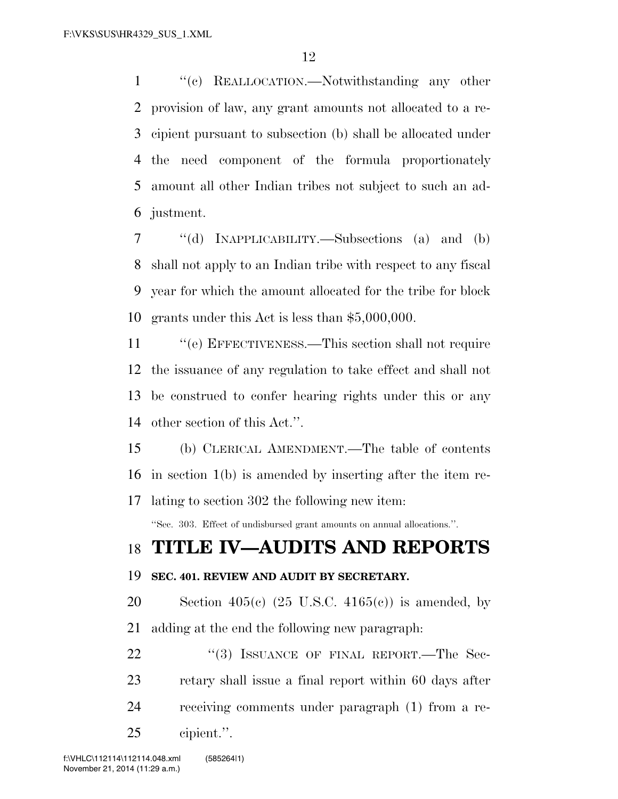''(c) REALLOCATION.—Notwithstanding any other provision of law, any grant amounts not allocated to a re- cipient pursuant to subsection (b) shall be allocated under the need component of the formula proportionately amount all other Indian tribes not subject to such an ad-justment.

 ''(d) INAPPLICABILITY.—Subsections (a) and (b) shall not apply to an Indian tribe with respect to any fiscal year for which the amount allocated for the tribe for block grants under this Act is less than \$5,000,000.

11 "(e) EFFECTIVENESS.—This section shall not require the issuance of any regulation to take effect and shall not be construed to confer hearing rights under this or any other section of this Act.''.

 (b) CLERICAL AMENDMENT.—The table of contents in section 1(b) is amended by inserting after the item re-

lating to section 302 the following new item:

''Sec. 303. Effect of undisbursed grant amounts on annual allocations.''.

## **TITLE IV—AUDITS AND REPORTS**

### **SEC. 401. REVIEW AND AUDIT BY SECRETARY.**

20 Section 405(c)  $(25 \text{ U.S.C. } 4165(c))$  is amended, by adding at the end the following new paragraph:

22 "(3) ISSUANCE OF FINAL REPORT.—The Sec- retary shall issue a final report within 60 days after receiving comments under paragraph (1) from a re-cipient.''.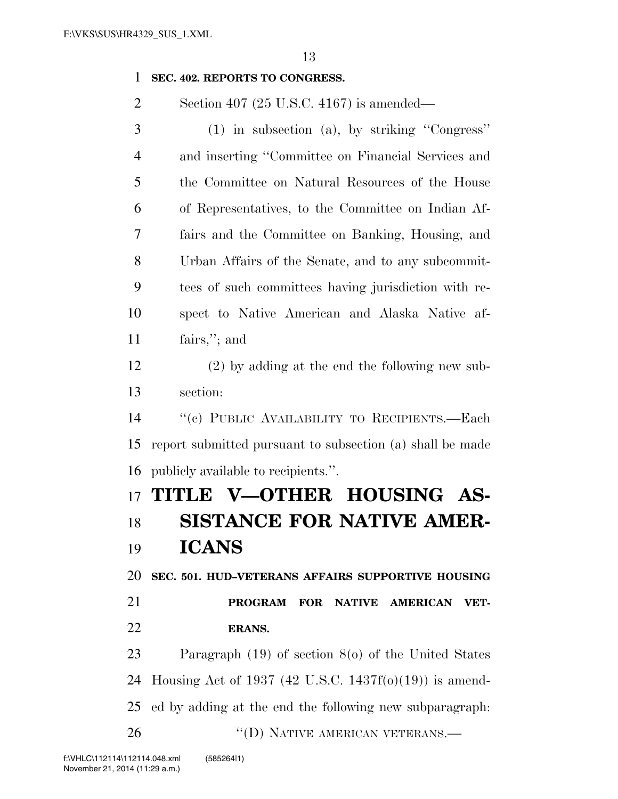#### **SEC. 402. REPORTS TO CONGRESS.**

Section 407 (25 U.S.C. 4167) is amended—

| 3  | $(1)$ in subsection (a), by striking "Congress"                          |
|----|--------------------------------------------------------------------------|
| 4  | and inserting "Committee on Financial Services and                       |
| 5  | the Committee on Natural Resources of the House                          |
| 6  | of Representatives, to the Committee on Indian Af-                       |
| 7  | fairs and the Committee on Banking, Housing, and                         |
| 8  | Urban Affairs of the Senate, and to any subcommit-                       |
| 9  | tees of such committees having jurisdiction with re-                     |
| 10 | spect to Native American and Alaska Native af-                           |
| 11 | fairs,"; and                                                             |
| 12 | $(2)$ by adding at the end the following new sub-                        |
| 13 | section:                                                                 |
| 14 | "(c) PUBLIC AVAILABILITY TO RECIPIENTS.-Each                             |
| 15 | report submitted pursuant to subsection (a) shall be made                |
| 16 | publicly available to recipients.".                                      |
| 17 | TITLE V-OTHER HOUSING AS-                                                |
| 18 | <b>SISTANCE FOR NATIVE AMER-</b>                                         |
| 19 | <b>ICANS</b>                                                             |
| 20 | SEC. 501. HUD-VETERANS AFFAIRS SUPPORTIVE HOUSING                        |
| 21 | <b>PROGRAM</b><br><b>FOR</b><br><b>NATIVE</b><br><b>AMERICAN</b><br>VET- |
| 22 | <b>ERANS.</b>                                                            |

 Paragraph (19) of section 8(o) of the United States Housing Act of 1937 (42 U.S.C. 1437f(o)(19)) is amend- ed by adding at the end the following new subparagraph: 26 "(D) NATIVE AMERICAN VETERANS.—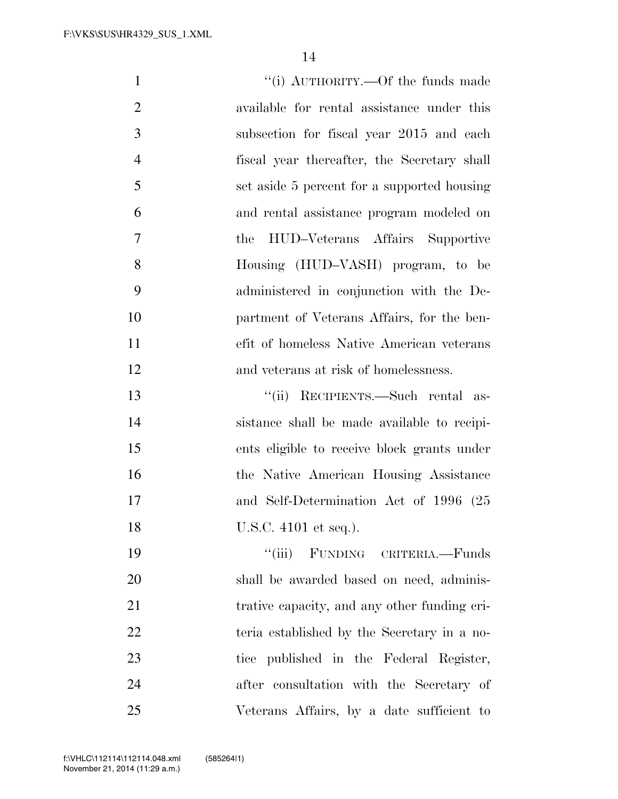| $\mathbf{1}$   | "(i) AUTHORITY.—Of the funds made            |
|----------------|----------------------------------------------|
| $\overline{2}$ | available for rental assistance under this   |
| 3              | subsection for fiscal year 2015 and each     |
| $\overline{4}$ | fiscal year thereafter, the Secretary shall  |
| 5              | set aside 5 percent for a supported housing  |
| 6              | and rental assistance program modeled on     |
| 7              | HUD-Veterans Affairs Supportive<br>the       |
| 8              | Housing (HUD-VASH) program, to be            |
| 9              | administered in conjunction with the De-     |
| 10             | partment of Veterans Affairs, for the ben-   |
| 11             | efit of homeless Native American veterans    |
| 12             | and veterans at risk of homelessness.        |
| 13             | RECIPIENTS.—Such rental as-<br>``(ii)        |
| 14             | sistance shall be made available to recipi-  |
| 15             | ents eligible to receive block grants under  |
| 16             | the Native American Housing Assistance       |
| 17             | and Self-Determination Act of 1996 (25       |
| 18             | U.S.C. 4101 et seq.).                        |
| 19             | "(iii) FUNDING CRITERIA.—Funds               |
| 20             | shall be awarded based on need, adminis-     |
| 21             | trative capacity, and any other funding cri- |
| 22             | teria established by the Secretary in a no-  |
| 23             | tice published in the Federal Register,      |
| 24             | after consultation with the Secretary of     |
| 25             | Veterans Affairs, by a date sufficient to    |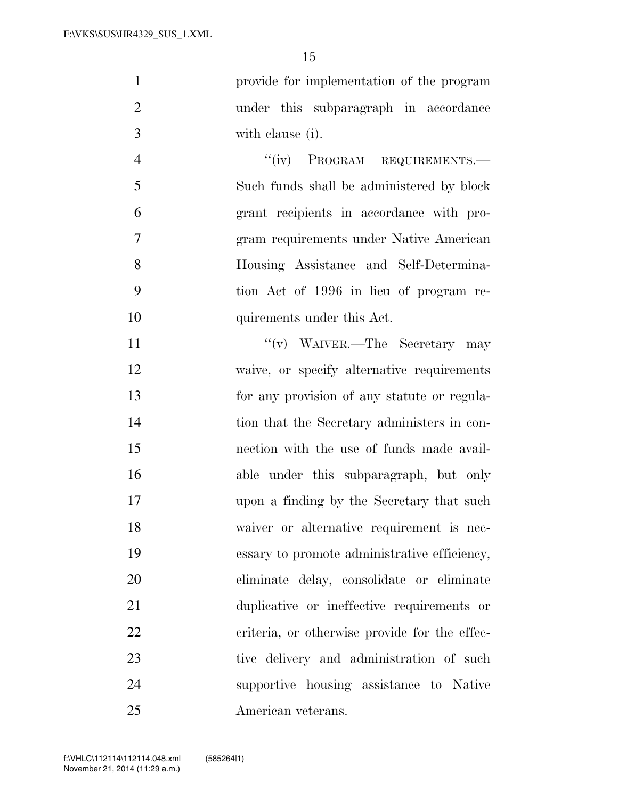provide for implementation of the program under this subparagraph in accordance with clause (i).

4 "(iv) PROGRAM REQUIREMENTS.— Such funds shall be administered by block grant recipients in accordance with pro- gram requirements under Native American Housing Assistance and Self-Determina- tion Act of 1996 in lieu of program re-10 quirements under this Act.

11 ''(v) WAIVER.—The Secretary may waive, or specify alternative requirements for any provision of any statute or regula- tion that the Secretary administers in con- nection with the use of funds made avail- able under this subparagraph, but only upon a finding by the Secretary that such waiver or alternative requirement is nec- essary to promote administrative efficiency, eliminate delay, consolidate or eliminate duplicative or ineffective requirements or 22 criteria, or otherwise provide for the effec-23 tive delivery and administration of such supportive housing assistance to Native American veterans.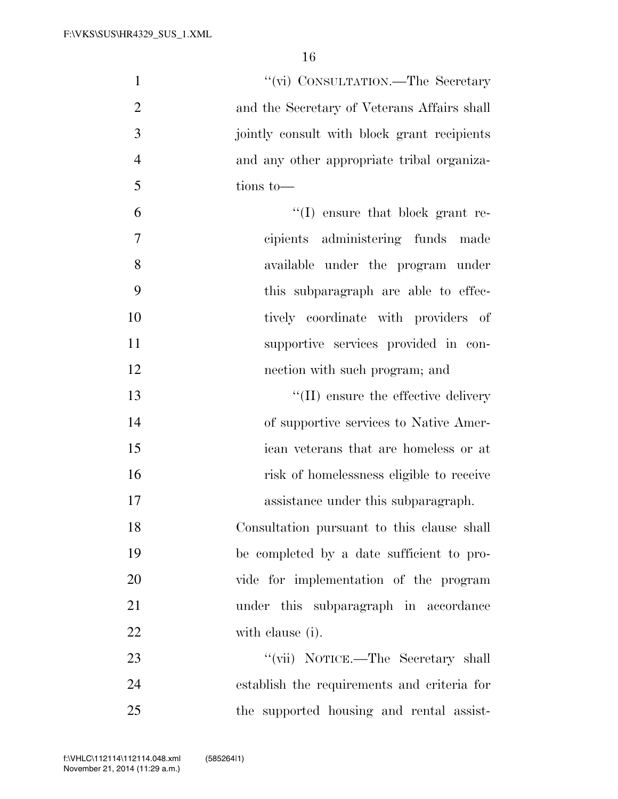| $\mathbf{1}$   | "(vi) CONSULTATION.—The Secretary           |
|----------------|---------------------------------------------|
| $\overline{2}$ | and the Secretary of Veterans Affairs shall |
| 3              | jointly consult with block grant recipients |
| $\overline{4}$ | and any other appropriate tribal organiza-  |
| 5              | tions to-                                   |
| 6              | $\lq\lq$ ensure that block grant re-        |
| 7              | cipients administering funds made           |
| 8              | available under the program under           |
| 9              | this subparagraph are able to effec-        |
| 10             | tively coordinate with providers of         |
| 11             | supportive services provided in con-        |
| 12             | nection with such program; and              |
| 13             | $\lq\lq$ (II) ensure the effective delivery |
| 14             | of supportive services to Native Amer-      |
| 15             | ican veterans that are homeless or at       |
| 16             | risk of homelessness eligible to receive    |
| 17             | assistance under this subparagraph.         |
| 18             | Consultation pursuant to this clause shall  |
| 19             | be completed by a date sufficient to pro-   |
| 20             | vide for implementation of the program      |
| 21             | under this subparagraph in accordance       |
| 22             | with clause (i).                            |
| 23             | "(vii) NOTICE.—The Secretary shall          |
| 24             | establish the requirements and criteria for |
| 25             | the supported housing and rental assist-    |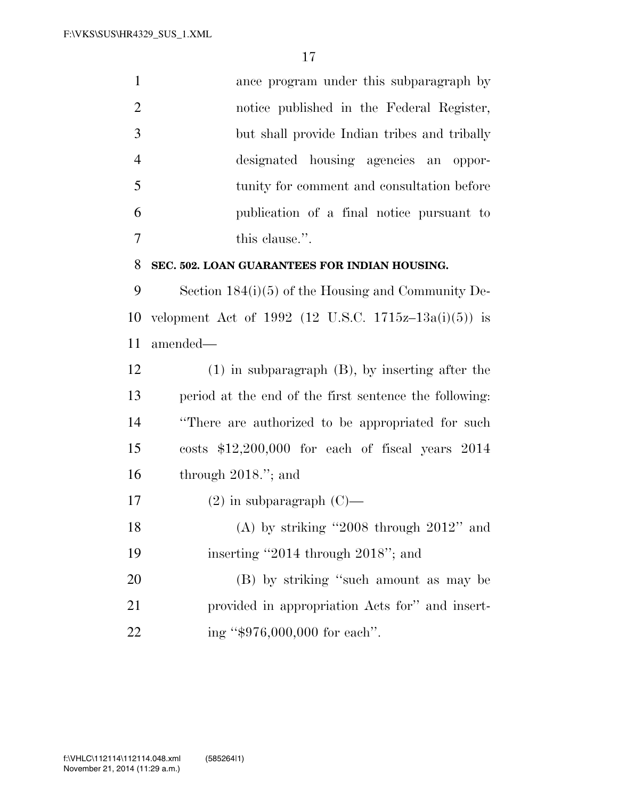|   | ance program under this subparagraph by      |
|---|----------------------------------------------|
| 2 | notice published in the Federal Register,    |
| 3 | but shall provide Indian tribes and tribally |
|   | designated housing agencies an oppor-        |
| 5 | tunity for comment and consultation before   |
| 6 | publication of a final notice pursuant to    |
|   | this clause.".                               |

#### **SEC. 502. LOAN GUARANTEES FOR INDIAN HOUSING.**

 Section 184(i)(5) of the Housing and Community De- velopment Act of 1992 (12 U.S.C. 1715z–13a(i)(5)) is amended—

 (1) in subparagraph (B), by inserting after the period at the end of the first sentence the following: ''There are authorized to be appropriated for such costs \$12,200,000 for each of fiscal years 2014 through 2018.''; and

17  $(2)$  in subparagraph  $(C)$ —

 (A) by striking ''2008 through 2012'' and inserting ''2014 through 2018''; and

20 (B) by striking "such amount as may be provided in appropriation Acts for'' and insert-22 ing "\$976,000,000 for each".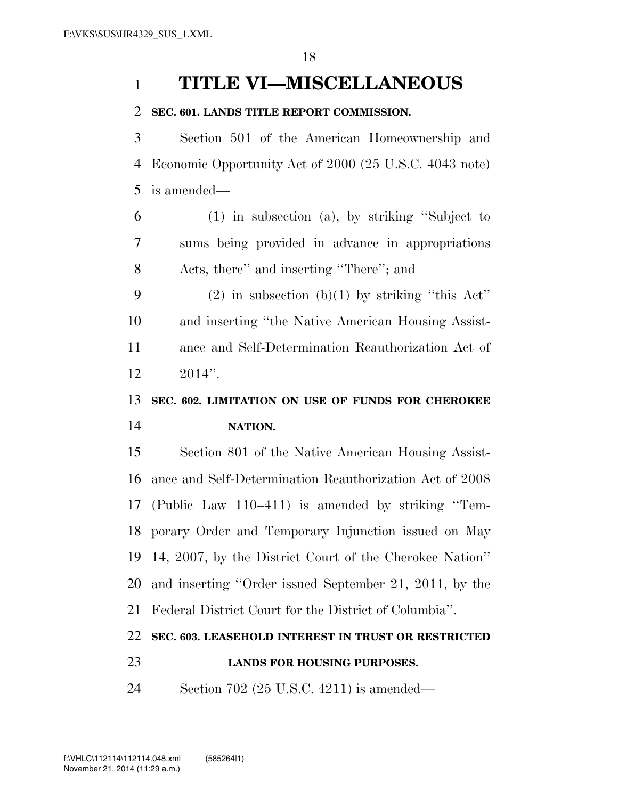# **TITLE VI—MISCELLANEOUS**

#### **SEC. 601. LANDS TITLE REPORT COMMISSION.**

 Section 501 of the American Homeownership and Economic Opportunity Act of 2000 (25 U.S.C. 4043 note) is amended—

 (1) in subsection (a), by striking ''Subject to sums being provided in advance in appropriations Acts, there'' and inserting ''There''; and

9 (2) in subsection (b)(1) by striking "this  $\text{Act}$ " and inserting ''the Native American Housing Assist- ance and Self-Determination Reauthorization Act of 2014''.

# **SEC. 602. LIMITATION ON USE OF FUNDS FOR CHEROKEE NATION.**

 Section 801 of the Native American Housing Assist- ance and Self-Determination Reauthorization Act of 2008 (Public Law 110–411) is amended by striking ''Tem- porary Order and Temporary Injunction issued on May 14, 2007, by the District Court of the Cherokee Nation'' and inserting ''Order issued September 21, 2011, by the Federal District Court for the District of Columbia''.

## **SEC. 603. LEASEHOLD INTEREST IN TRUST OR RESTRICTED**

## **LANDS FOR HOUSING PURPOSES.**

Section 702 (25 U.S.C. 4211) is amended—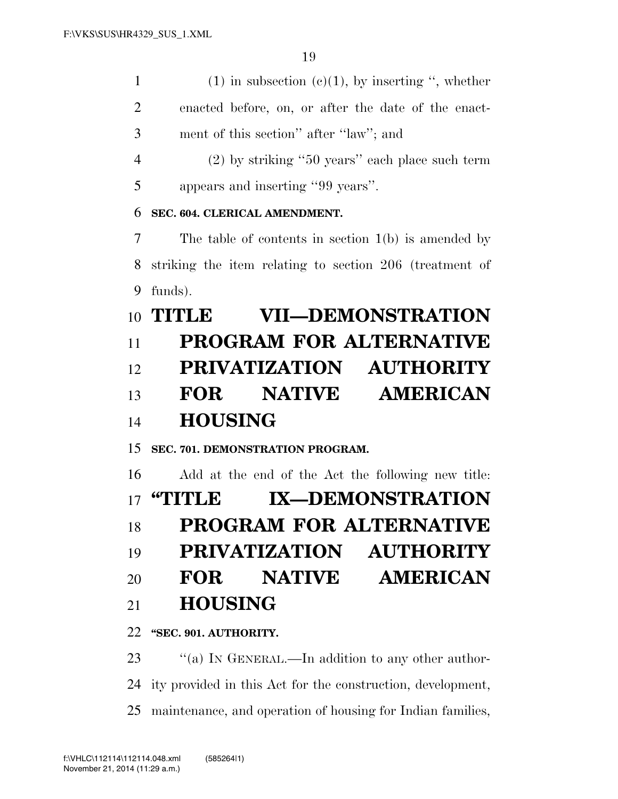| 1              | $(1)$ in subsection $(e)(1)$ , by inserting ", whether  |
|----------------|---------------------------------------------------------|
| $\overline{2}$ | enacted before, on, or after the date of the enact-     |
| 3              | ment of this section" after "law"; and                  |
| $\overline{4}$ | $(2)$ by striking "50 years" each place such term       |
| 5              | appears and inserting "99 years".                       |
| 6              | SEC. 604. CLERICAL AMENDMENT.                           |
| 7              | The table of contents in section $1(b)$ is amended by   |
| 8              | striking the item relating to section 206 (treatment of |
| 9              | funds).                                                 |
|                | <b>VII-DEMONSTRATION</b><br>10 TITLE                    |
| 11             | <b>PROGRAM FOR ALTERNATIVE</b>                          |
| 12             | PRIVATIZATION AUTHORITY                                 |
| 13             | <b>NATIVE</b><br><b>AMERICAN</b><br>FOR                 |

# **HOUSING**

**SEC. 701. DEMONSTRATION PROGRAM.** 

Add at the end of the Act the following new title:

**''TITLE IX—DEMONSTRATION** 

**PROGRAM FOR ALTERNATIVE** 

**PRIVATIZATION AUTHORITY** 

**FOR NATIVE AMERICAN** 

## **HOUSING**

**''SEC. 901. AUTHORITY.** 

23 "(a) IN GENERAL.—In addition to any other author- ity provided in this Act for the construction, development, maintenance, and operation of housing for Indian families,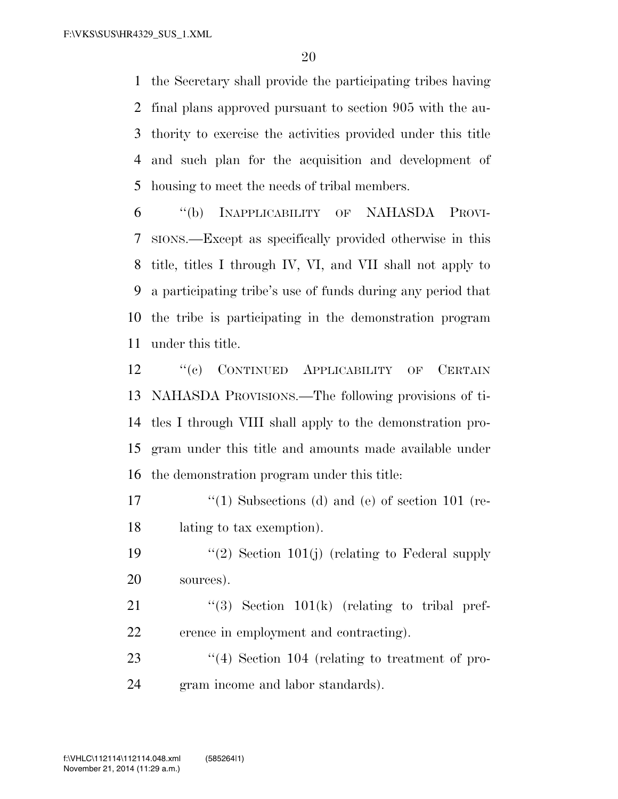the Secretary shall provide the participating tribes having final plans approved pursuant to section 905 with the au- thority to exercise the activities provided under this title and such plan for the acquisition and development of housing to meet the needs of tribal members.

 ''(b) INAPPLICABILITY OF NAHASDA PROVI- SIONS.—Except as specifically provided otherwise in this title, titles I through IV, VI, and VII shall not apply to a participating tribe's use of funds during any period that the tribe is participating in the demonstration program under this title.

 ''(c) CONTINUED APPLICABILITY OF CERTAIN NAHASDA PROVISIONS.—The following provisions of ti- tles I through VIII shall apply to the demonstration pro- gram under this title and amounts made available under the demonstration program under this title:

17 ''(1) Subsections (d) and (e) of section 101 (re-lating to tax exemption).

19  $(2)$  Section 101(j) (relating to Federal supply sources).

21  $(3)$  Section 101(k) (relating to tribal pref-erence in employment and contracting).

23 ''(4) Section 104 (relating to treatment of pro-gram income and labor standards).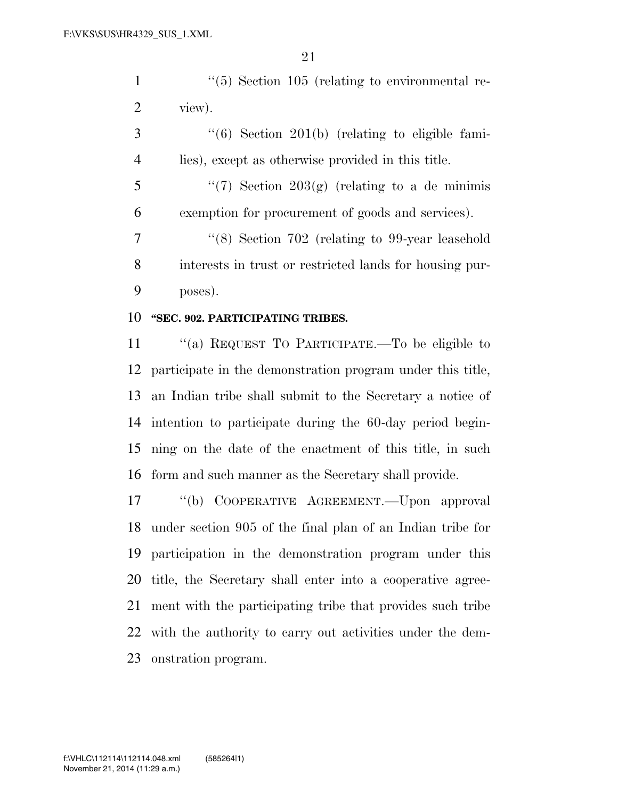1 ''(5) Section 105 (relating to environmental re-view).

 ''(6) Section 201(b) (relating to eligible fami-lies), except as otherwise provided in this title.

5  $\frac{4}{7}$  Section 203(g) (relating to a de minimis exemption for procurement of goods and services).

 ''(8) Section 702 (relating to 99-year leasehold interests in trust or restricted lands for housing pur-poses).

#### **''SEC. 902. PARTICIPATING TRIBES.**

 ''(a) REQUEST TO PARTICIPATE.—To be eligible to participate in the demonstration program under this title, an Indian tribe shall submit to the Secretary a notice of intention to participate during the 60-day period begin- ning on the date of the enactment of this title, in such form and such manner as the Secretary shall provide.

 ''(b) COOPERATIVE AGREEMENT.—Upon approval under section 905 of the final plan of an Indian tribe for participation in the demonstration program under this title, the Secretary shall enter into a cooperative agree- ment with the participating tribe that provides such tribe with the authority to carry out activities under the dem-onstration program.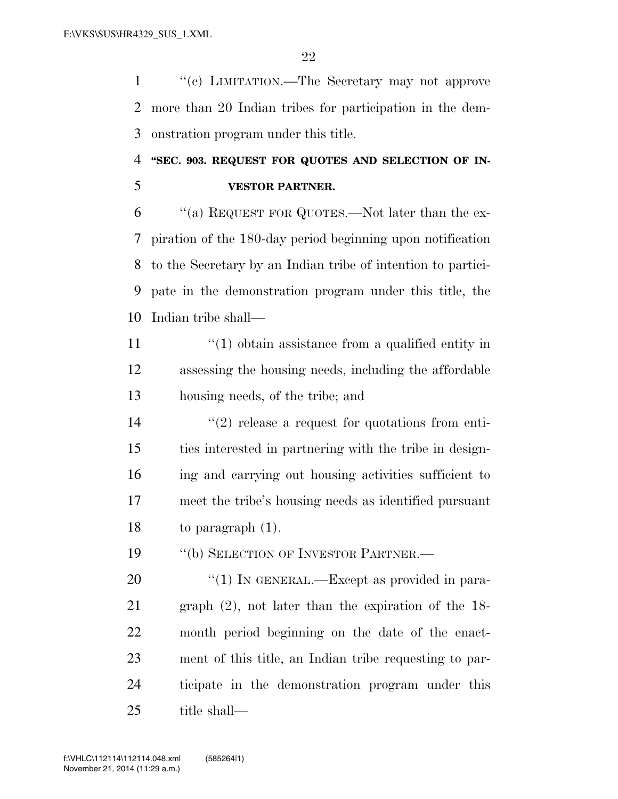''(c) LIMITATION.—The Secretary may not approve more than 20 Indian tribes for participation in the dem-onstration program under this title.

# **''SEC. 903. REQUEST FOR QUOTES AND SELECTION OF IN-VESTOR PARTNER.**

 ''(a) REQUEST FOR QUOTES.—Not later than the ex- piration of the 180-day period beginning upon notification to the Secretary by an Indian tribe of intention to partici- pate in the demonstration program under this title, the Indian tribe shall—

- 11  $\frac{1}{10}$   $\frac{1}{10}$  obtain assistance from a qualified entity in assessing the housing needs, including the affordable housing needs, of the tribe; and
- 14  $(2)$  release a request for quotations from enti- ties interested in partnering with the tribe in design- ing and carrying out housing activities sufficient to meet the tribe's housing needs as identified pursuant to paragraph (1).

19 "(b) SELECTION OF INVESTOR PARTNER.—

20 "(1) IN GENERAL.—Except as provided in para- graph (2), not later than the expiration of the 18- month period beginning on the date of the enact- ment of this title, an Indian tribe requesting to par- ticipate in the demonstration program under this title shall—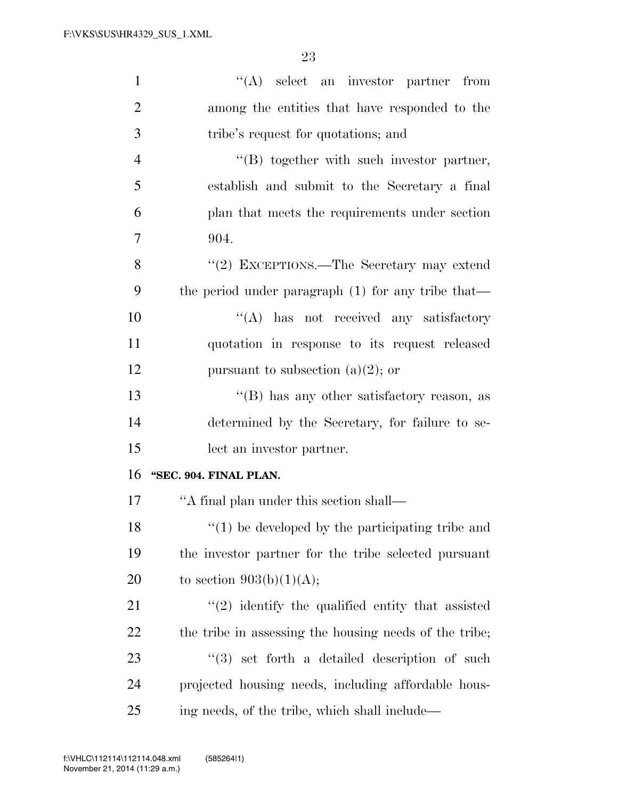| $\mathbf{1}$   | $\lq\lq$ select an investor partner from               |
|----------------|--------------------------------------------------------|
| $\overline{2}$ | among the entities that have responded to the          |
| 3              | tribe's request for quotations; and                    |
| $\overline{4}$ | $\lq\lq (B)$ together with such investor partner,      |
| 5              | establish and submit to the Secretary a final          |
| 6              | plan that meets the requirements under section         |
| 7              | 904.                                                   |
| 8              | "(2) EXCEPTIONS.—The Secretary may extend              |
| 9              | the period under paragraph $(1)$ for any tribe that—   |
| 10             | $\lq\lq$ has not received any satisfactory             |
| 11             | quotation in response to its request released          |
| 12             | pursuant to subsection (a)(2); or                      |
| 13             | "(B) has any other satisfactory reason, as             |
| 14             | determined by the Secretary, for failure to se-        |
| 15             | lect an investor partner.                              |
| 16             | "SEC. 904. FINAL PLAN.                                 |
| 17             | "A final plan under this section shall—                |
| 18             | $f(1)$ be developed by the participating tribe and     |
| 19             | the investor partner for the tribe selected pursuant   |
| 20             | to section $903(b)(1)(A);$                             |
| 21             | $\lq(2)$ identify the qualified entity that assisted   |
| 22             | the tribe in assessing the housing needs of the tribe; |
| 23             | $(3)$ set forth a detailed description of such         |
| 24             | projected housing needs, including affordable hous-    |
| 25             | ing needs, of the tribe, which shall include—          |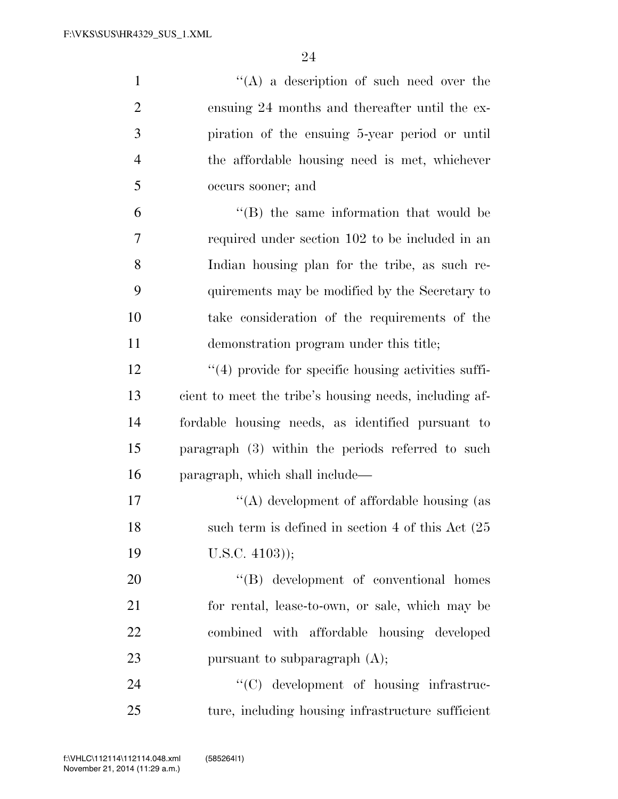| $\mathbf{1}$   | $\lq\lq$ a description of such need over the            |
|----------------|---------------------------------------------------------|
| $\overline{2}$ | ensuing 24 months and thereafter until the ex-          |
| 3              | piration of the ensuing 5-year period or until          |
| $\overline{4}$ | the affordable housing need is met, whichever           |
| 5              | occurs sooner; and                                      |
| 6              | $\lq\lq$ the same information that would be             |
| 7              | required under section 102 to be included in an         |
| 8              | Indian housing plan for the tribe, as such re-          |
| 9              | quirements may be modified by the Secretary to          |
| 10             | take consideration of the requirements of the           |
| 11             | demonstration program under this title;                 |
| 12             | $\lq(4)$ provide for specific housing activities suffi- |
| 13             | cient to meet the tribe's housing needs, including af-  |
| 14             | fordable housing needs, as identified pursuant to       |
| 15             | paragraph (3) within the periods referred to such       |
| 16             | paragraph, which shall include—                         |
| 17             | "(A) development of affordable housing (as              |
| 18             | such term is defined in section 4 of this Act $(25)$    |
| 19             | $U.S.C. 4103$ );                                        |
| 20             | $\lq\lq (B)$ development of conventional homes          |
| 21             | for rental, lease-to-own, or sale, which may be         |
| 22             | combined with affordable housing developed              |
| 23             | pursuant to subparagraph $(A)$ ;                        |
| 24             | "(C) development of housing infrastruc-                 |
| 25             | ture, including housing infrastructure sufficient       |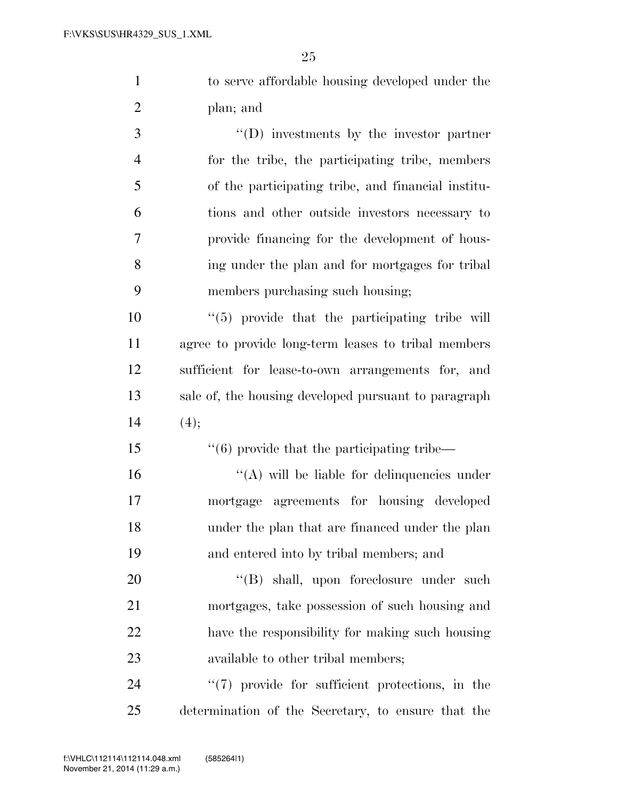to serve affordable housing developed under the plan; and

 ''(D) investments by the investor partner for the tribe, the participating tribe, members of the participating tribe, and financial institu- tions and other outside investors necessary to provide financing for the development of hous- ing under the plan and for mortgages for tribal members purchasing such housing;

 $\frac{1}{10}$   $\frac{1}{10}$  provide that the participating tribe will agree to provide long-term leases to tribal members sufficient for lease-to-own arrangements for, and sale of, the housing developed pursuant to paragraph 14  $(4)$ ;

 $\frac{1}{6}$  provide that the participating tribe—  $\mathcal{L}(\mathbf{A})$  will be liable for delinquencies under mortgage agreements for housing developed under the plan that are financed under the plan and entered into by tribal members; and

 $((B)$  shall, upon foreclosure under such mortgages, take possession of such housing and have the responsibility for making such housing 23 available to other tribal members;

24  $\frac{1}{2}$  (7) provide for sufficient protections, in the determination of the Secretary, to ensure that the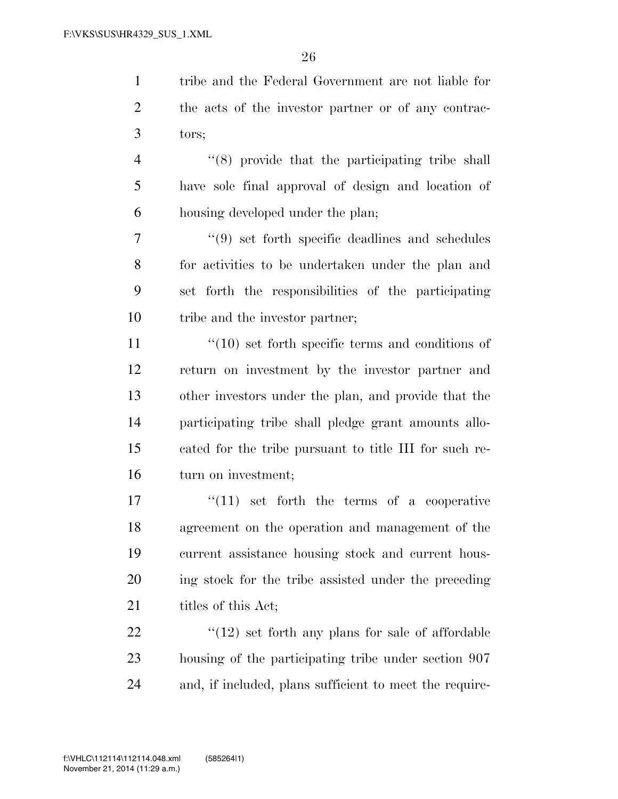tribe and the Federal Government are not liable for the acts of the investor partner or of any contrac-tors;

 ''(8) provide that the participating tribe shall have sole final approval of design and location of housing developed under the plan;

 ''(9) set forth specific deadlines and schedules for activities to be undertaken under the plan and set forth the responsibilities of the participating tribe and the investor partner;

 $\frac{11}{10}$  ''(10) set forth specific terms and conditions of return on investment by the investor partner and other investors under the plan, and provide that the participating tribe shall pledge grant amounts allo- cated for the tribe pursuant to title III for such re-turn on investment;

 ''(11) set forth the terms of a cooperative agreement on the operation and management of the current assistance housing stock and current hous- ing stock for the tribe assisted under the preceding 21 titles of this Act;

 $\frac{1}{22}$  ''(12) set forth any plans for sale of affordable housing of the participating tribe under section 907 and, if included, plans sufficient to meet the require-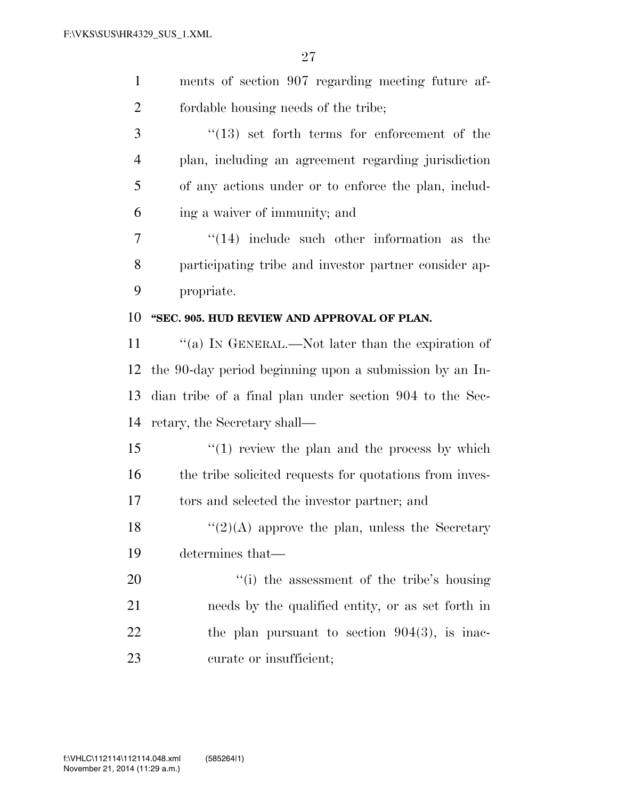| $\mathbf{1}$   | ments of section 907 regarding meeting future af-        |
|----------------|----------------------------------------------------------|
| $\overline{2}$ | fordable housing needs of the tribe;                     |
| 3              | $\cdot$ (13) set forth terms for enforcement of the      |
| $\overline{4}$ | plan, including an agreement regarding jurisdiction      |
| 5              | of any actions under or to enforce the plan, includ-     |
| 6              | ing a waiver of immunity; and                            |
| 7              | $(14)$ include such other information as the             |
| 8              | participating tribe and investor partner consider ap-    |
| 9              | propriate.                                               |
| 10             | "SEC. 905. HUD REVIEW AND APPROVAL OF PLAN.              |
| 11             | "(a) IN GENERAL.—Not later than the expiration of        |
| 12             | the 90-day period beginning upon a submission by an In-  |
| 13             | dian tribe of a final plan under section 904 to the Sec- |
| 14             | retary, the Secretary shall—                             |
| 15             | $\lq(1)$ review the plan and the process by which        |
| 16             | the tribe solicited requests for quotations from inves-  |
| 17             | tors and selected the investor partner; and              |
| 18             | $\lq(2)(A)$ approve the plan, unless the Secretary       |
| 19             | determines that—                                         |
| 20             | "(i) the assessment of the tribe's housing               |
| 21             | needs by the qualified entity, or as set forth in        |
| 22             | the plan pursuant to section $904(3)$ , is inac-         |
| 23             | curate or insufficient;                                  |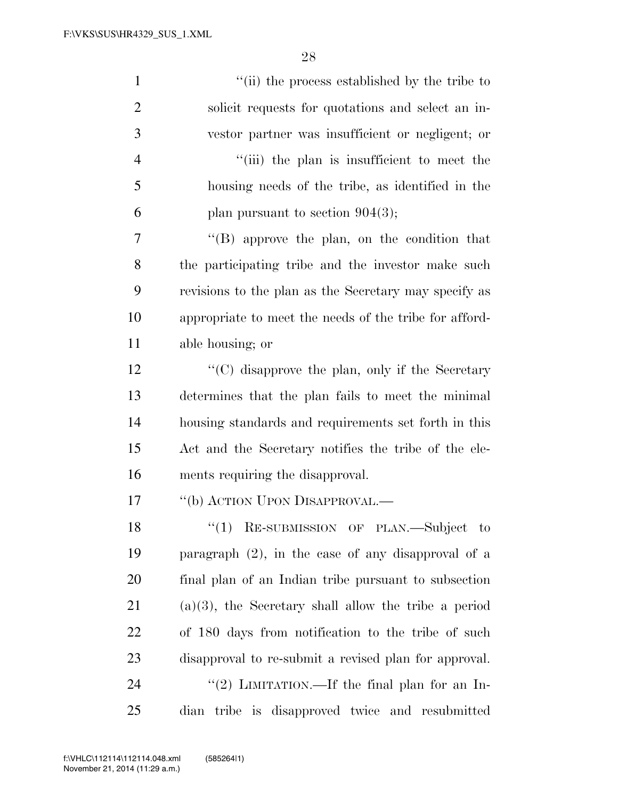| $\mathbf{1}$   | "(ii) the process established by the tribe to           |
|----------------|---------------------------------------------------------|
| $\overline{2}$ | solicit requests for quotations and select an in-       |
| 3              | vestor partner was insufficient or negligent; or        |
| $\overline{4}$ | "(iii) the plan is insufficient to meet the             |
| 5              | housing needs of the tribe, as identified in the        |
| 6              | plan pursuant to section $904(3)$ ;                     |
| $\overline{7}$ | $\lq\lq (B)$ approve the plan, on the condition that    |
| 8              | the participating tribe and the investor make such      |
| 9              | revisions to the plan as the Secretary may specify as   |
| 10             | appropriate to meet the needs of the tribe for afford-  |
| 11             | able housing; or                                        |
| 12             | "(C) disapprove the plan, only if the Secretary         |
| 13             | determines that the plan fails to meet the minimal      |
| 14             | housing standards and requirements set forth in this    |
| 15             | Act and the Secretary notifies the tribe of the ele-    |
| 16             | ments requiring the disapproval.                        |
| 17             | "(b) ACTION UPON DISAPPROVAL.—                          |
| 18             | ``(1)<br>RE-SUBMISSION OF PLAN.—Subject to              |
| 19             | paragraph $(2)$ , in the case of any disapproval of a   |
| 20             | final plan of an Indian tribe pursuant to subsection    |
| 21             | $(a)(3)$ , the Secretary shall allow the tribe a period |
| <u>22</u>      | of 180 days from notification to the tribe of such      |
| 23             | disapproval to re-submit a revised plan for approval.   |
| 24             | "(2) LIMITATION.—If the final plan for an In-           |
| 25             | dian tribe is disapproved twice and resubmitted         |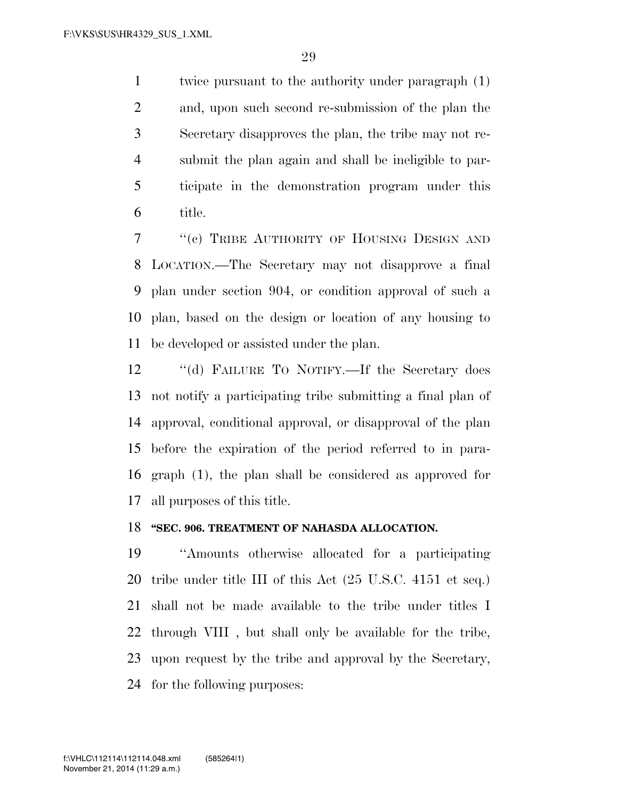twice pursuant to the authority under paragraph (1) and, upon such second re-submission of the plan the Secretary disapproves the plan, the tribe may not re- submit the plan again and shall be ineligible to par- ticipate in the demonstration program under this title.

 ''(c) TRIBE AUTHORITY OF HOUSING DESIGN AND LOCATION.—The Secretary may not disapprove a final plan under section 904, or condition approval of such a plan, based on the design or location of any housing to be developed or assisted under the plan.

12 "(d) FAILURE TO NOTIFY.—If the Secretary does not notify a participating tribe submitting a final plan of approval, conditional approval, or disapproval of the plan before the expiration of the period referred to in para- graph (1), the plan shall be considered as approved for all purposes of this title.

#### **''SEC. 906. TREATMENT OF NAHASDA ALLOCATION.**

 ''Amounts otherwise allocated for a participating tribe under title III of this Act (25 U.S.C. 4151 et seq.) shall not be made available to the tribe under titles I through VIII , but shall only be available for the tribe, upon request by the tribe and approval by the Secretary, for the following purposes: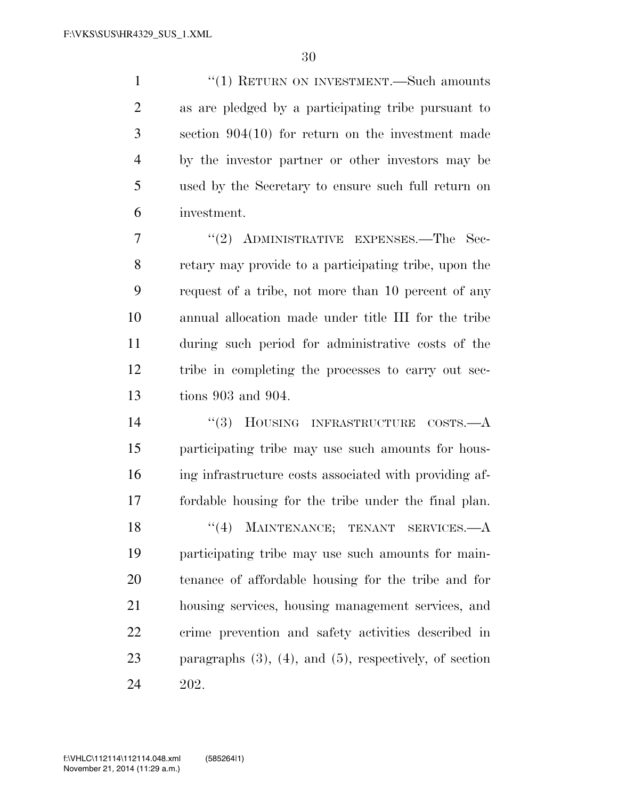1 ''(1) RETURN ON INVESTMENT.—Such amounts as are pledged by a participating tribe pursuant to section 904(10) for return on the investment made by the investor partner or other investors may be used by the Secretary to ensure such full return on investment.

7 "(2) ADMINISTRATIVE EXPENSES.—The Sec- retary may provide to a participating tribe, upon the request of a tribe, not more than 10 percent of any annual allocation made under title III for the tribe during such period for administrative costs of the tribe in completing the processes to carry out sec-tions 903 and 904.

 ''(3) HOUSING INFRASTRUCTURE COSTS.—A participating tribe may use such amounts for hous- ing infrastructure costs associated with providing af- fordable housing for the tribe under the final plan. 18 ''(4) MAINTENANCE; TENANT SERVICES.—A participating tribe may use such amounts for main- tenance of affordable housing for the tribe and for housing services, housing management services, and crime prevention and safety activities described in paragraphs (3), (4), and (5), respectively, of section 202.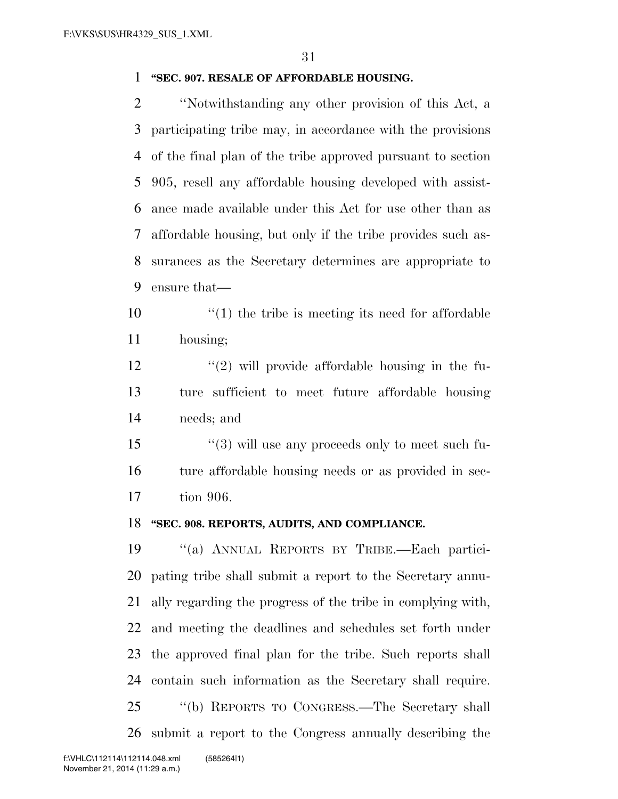#### **''SEC. 907. RESALE OF AFFORDABLE HOUSING.**

 ''Notwithstanding any other provision of this Act, a participating tribe may, in accordance with the provisions of the final plan of the tribe approved pursuant to section 905, resell any affordable housing developed with assist- ance made available under this Act for use other than as affordable housing, but only if the tribe provides such as- surances as the Secretary determines are appropriate to ensure that—

 $\mathcal{L}(1)$  the tribe is meeting its need for affordable housing;

 $\frac{12}{2}$  ''(2) will provide affordable housing in the fu- ture sufficient to meet future affordable housing needs; and

 ''(3) will use any proceeds only to meet such fu- ture affordable housing needs or as provided in sec-tion 906.

#### **''SEC. 908. REPORTS, AUDITS, AND COMPLIANCE.**

 ''(a) ANNUAL REPORTS BY TRIBE.—Each partici- pating tribe shall submit a report to the Secretary annu- ally regarding the progress of the tribe in complying with, and meeting the deadlines and schedules set forth under the approved final plan for the tribe. Such reports shall contain such information as the Secretary shall require. ''(b) REPORTS TO CONGRESS.—The Secretary shall submit a report to the Congress annually describing the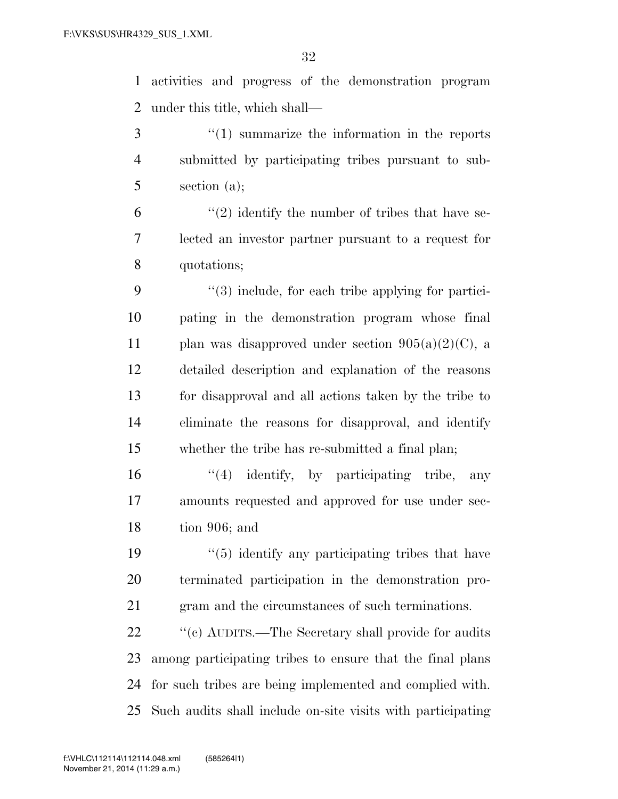activities and progress of the demonstration program under this title, which shall—

 ''(1) summarize the information in the reports submitted by participating tribes pursuant to sub-section (a);

 $(2)$  identify the number of tribes that have se- lected an investor partner pursuant to a request for quotations;

 ''(3) include, for each tribe applying for partici- pating in the demonstration program whose final 11 plan was disapproved under section  $905(a)(2)(C)$ , a detailed description and explanation of the reasons for disapproval and all actions taken by the tribe to eliminate the reasons for disapproval, and identify whether the tribe has re-submitted a final plan;

16  $\frac{1}{4}$  identify, by participating tribe, any amounts requested and approved for use under sec-tion 906; and

19  $\frac{1}{2}$   $\frac{1}{2}$  identify any participating tribes that have terminated participation in the demonstration pro-gram and the circumstances of such terminations.

22 ''(c) AUDITS.—The Secretary shall provide for audits among participating tribes to ensure that the final plans for such tribes are being implemented and complied with. Such audits shall include on-site visits with participating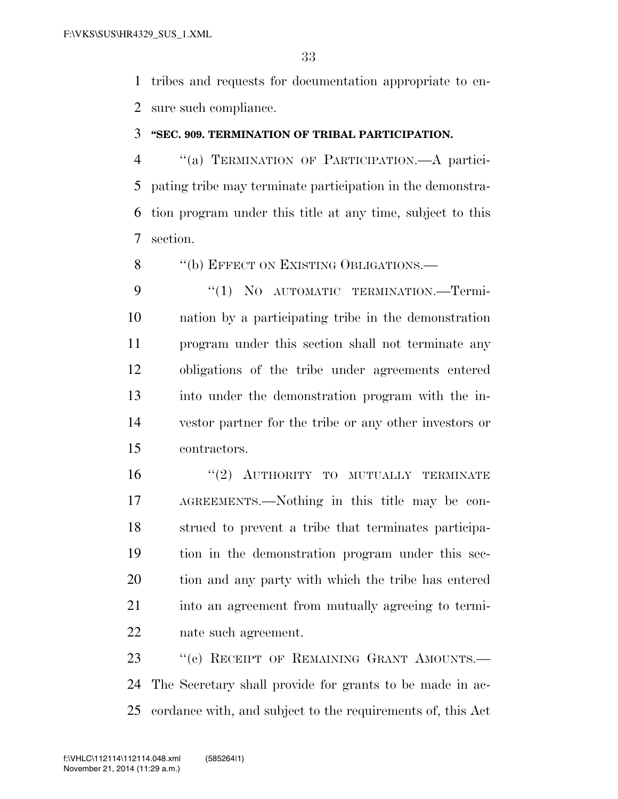tribes and requests for documentation appropriate to en-sure such compliance.

#### **''SEC. 909. TERMINATION OF TRIBAL PARTICIPATION.**

 ''(a) TERMINATION OF PARTICIPATION.—A partici- pating tribe may terminate participation in the demonstra- tion program under this title at any time, subject to this section.

8 "(b) EFFECT ON EXISTING OBLIGATIONS.—

9 "(1) NO AUTOMATIC TERMINATION. Termi- nation by a participating tribe in the demonstration program under this section shall not terminate any obligations of the tribe under agreements entered into under the demonstration program with the in- vestor partner for the tribe or any other investors or contractors.

16 "(2) AUTHORITY TO MUTUALLY TERMINATE AGREEMENTS.—Nothing in this title may be con- strued to prevent a tribe that terminates participa- tion in the demonstration program under this sec- tion and any party with which the tribe has entered into an agreement from mutually agreeing to termi-nate such agreement.

23 "(c) RECEIPT OF REMAINING GRANT AMOUNTS. The Secretary shall provide for grants to be made in ac-cordance with, and subject to the requirements of, this Act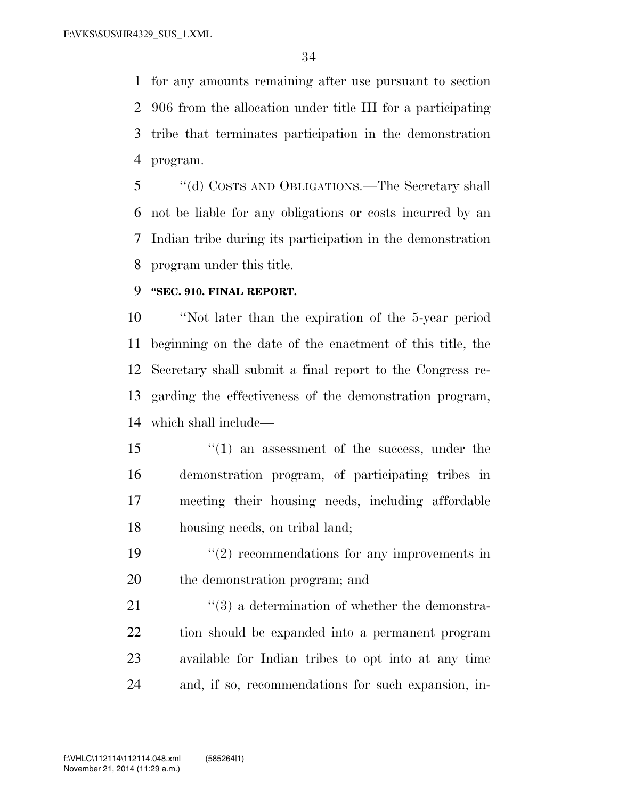for any amounts remaining after use pursuant to section 906 from the allocation under title III for a participating tribe that terminates participation in the demonstration program.

 ''(d) COSTS AND OBLIGATIONS.—The Secretary shall not be liable for any obligations or costs incurred by an Indian tribe during its participation in the demonstration program under this title.

### **''SEC. 910. FINAL REPORT.**

 ''Not later than the expiration of the 5-year period beginning on the date of the enactment of this title, the Secretary shall submit a final report to the Congress re- garding the effectiveness of the demonstration program, which shall include—

15 ''(1) an assessment of the success, under the demonstration program, of participating tribes in meeting their housing needs, including affordable housing needs, on tribal land;

19  $(2)$  recommendations for any improvements in the demonstration program; and

21 ''(3) a determination of whether the demonstra- tion should be expanded into a permanent program available for Indian tribes to opt into at any time and, if so, recommendations for such expansion, in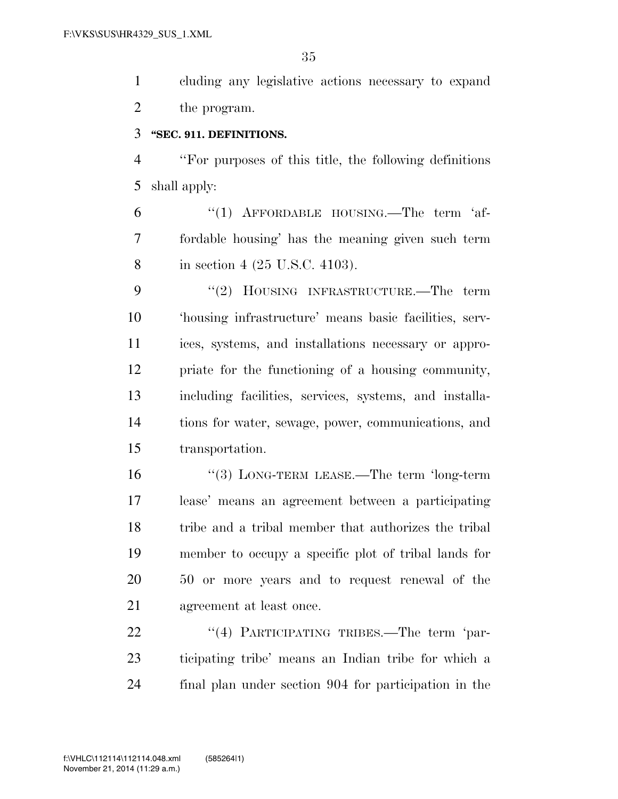cluding any legislative actions necessary to expand the program.

#### **''SEC. 911. DEFINITIONS.**

 ''For purposes of this title, the following definitions shall apply:

6 "(1) AFFORDABLE HOUSING.—The term 'af- fordable housing' has the meaning given such term in section 4 (25 U.S.C. 4103).

9 "(2) HOUSING INFRASTRUCTURE.—The term 'housing infrastructure' means basic facilities, serv- ices, systems, and installations necessary or appro- priate for the functioning of a housing community, including facilities, services, systems, and installa- tions for water, sewage, power, communications, and transportation.

 ''(3) LONG-TERM LEASE.—The term 'long-term lease' means an agreement between a participating tribe and a tribal member that authorizes the tribal member to occupy a specific plot of tribal lands for 50 or more years and to request renewal of the agreement at least once.

22 "(4) PARTICIPATING TRIBES.—The term 'par- ticipating tribe' means an Indian tribe for which a final plan under section 904 for participation in the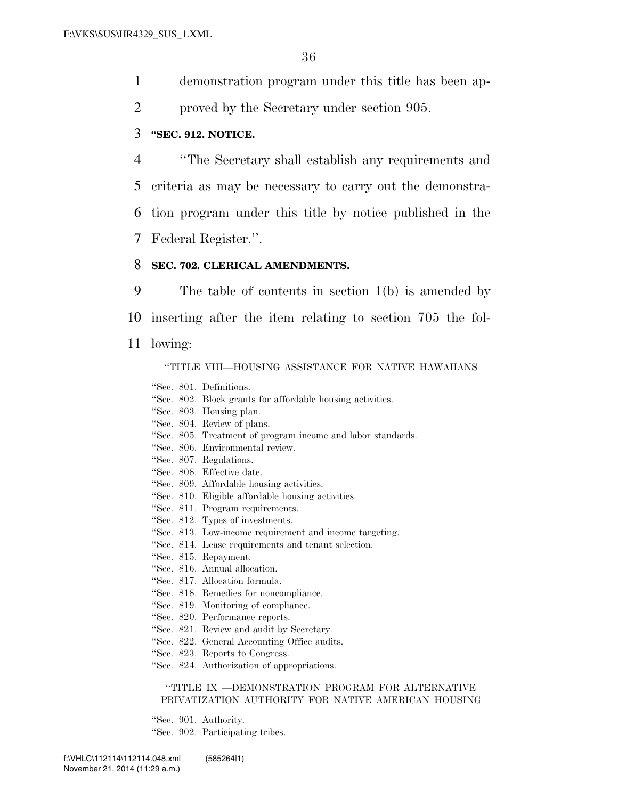- 1 demonstration program under this title has been ap-
- 2 proved by the Secretary under section 905.

#### 3 **''SEC. 912. NOTICE.**

 ''The Secretary shall establish any requirements and criteria as may be necessary to carry out the demonstra- tion program under this title by notice published in the Federal Register.''.

#### 8 **SEC. 702. CLERICAL AMENDMENTS.**

9 The table of contents in section 1(b) is amended by 10 inserting after the item relating to section 705 the fol-11 lowing: ''TITLE VIII—HOUSING ASSISTANCE FOR NATIVE HAWAIIANS

''Sec. 801. Definitions.

- ''Sec. 802. Block grants for affordable housing activities.
- ''Sec. 803. Housing plan.
- ''Sec. 804. Review of plans.
- ''Sec. 805. Treatment of program income and labor standards.
- ''Sec. 806. Environmental review.
- ''Sec. 807. Regulations.
- ''Sec. 808. Effective date.
- ''Sec. 809. Affordable housing activities.
- ''Sec. 810. Eligible affordable housing activities.
- ''Sec. 811. Program requirements.
- ''Sec. 812. Types of investments.
- ''Sec. 813. Low-income requirement and income targeting.
- ''Sec. 814. Lease requirements and tenant selection.
- ''Sec. 815. Repayment.
- ''Sec. 816. Annual allocation.
- ''Sec. 817. Allocation formula.
- ''Sec. 818. Remedies for noncompliance.
- ''Sec. 819. Monitoring of compliance.
- ''Sec. 820. Performance reports.
- ''Sec. 821. Review and audit by Secretary.
- ''Sec. 822. General Accounting Office audits.
- ''Sec. 823. Reports to Congress.
- ''Sec. 824. Authorization of appropriations.

#### ''TITLE IX —DEMONSTRATION PROGRAM FOR ALTERNATIVE PRIVATIZATION AUTHORITY FOR NATIVE AMERICAN HOUSING

''Sec. 901. Authority. ''Sec. 902. Participating tribes.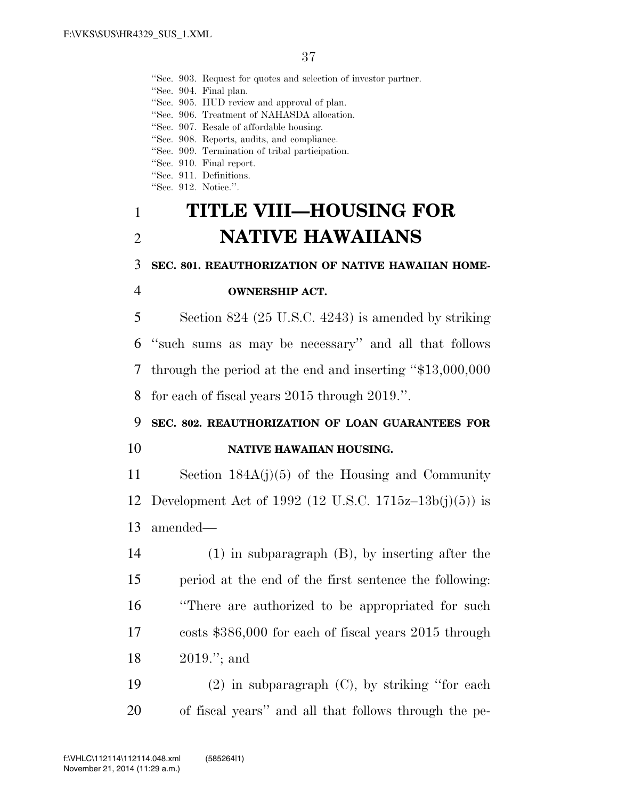''Sec. 903. Request for quotes and selection of investor partner.

''Sec. 904. Final plan.

''Sec. 905. HUD review and approval of plan.

''Sec. 906. Treatment of NAHASDA allocation.

''Sec. 907. Resale of affordable housing.

''Sec. 908. Reports, audits, and compliance.

''Sec. 909. Termination of tribal participation.

''Sec. 910. Final report.

''Sec. 911. Definitions.

"Sec. 912. Notice.".

# **TITLE VIII—HOUSING FOR NATIVE HAWAIIANS**

#### **SEC. 801. REAUTHORIZATION OF NATIVE HAWAIIAN HOME-**

#### **OWNERSHIP ACT.**

 Section 824 (25 U.S.C. 4243) is amended by striking ''such sums as may be necessary'' and all that follows through the period at the end and inserting ''\$13,000,000 for each of fiscal years 2015 through 2019.''.

## **SEC. 802. REAUTHORIZATION OF LOAN GUARANTEES FOR**

#### **NATIVE HAWAIIAN HOUSING.**

 Section 184A(j)(5) of the Housing and Community Development Act of 1992 (12 U.S.C. 1715z–13b(j)(5)) is amended—

 (1) in subparagraph (B), by inserting after the period at the end of the first sentence the following: ''There are authorized to be appropriated for such costs \$386,000 for each of fiscal years 2015 through 2019.''; and

 (2) in subparagraph (C), by striking ''for each of fiscal years'' and all that follows through the pe